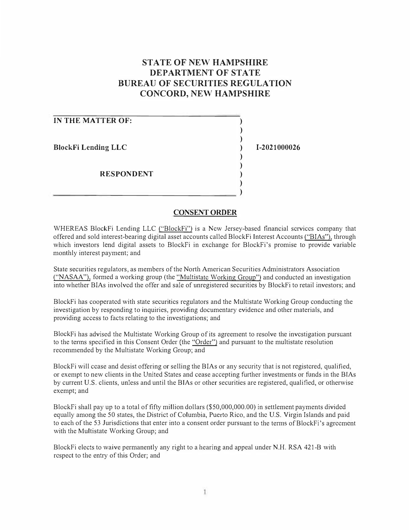# **STATE OF NEW HAMPSHIRE DEPARTMENT OF STATE BUREAU OF SECURITIES REGULATION CONCORD, NEW HAMPSHIRE**

| IN THE MATTER OF:          |  |
|----------------------------|--|
|                            |  |
| <b>BlockFi Lending LLC</b> |  |
|                            |  |
|                            |  |
| <b>RESPONDENT</b>          |  |
|                            |  |

**CONSENT ORDER** 

)

**1-2021000026** 

WHEREAS BlockFi Lending LLC ("BlockFi") is a New Jersey-based financial services company that offered and sold interest-bearing digital asset accounts called BlockFi Interest Accounts ("BI As"), through which investors lend digital assets to BlockFi in exchange for BlockFi's promise to provide variable monthly interest payment; and

State securities regulators, as members of the North American Securities Administrators Association ("NASAA"), formed a working group (the "Multistate Working Group") and conducted an investigation into whether BIAs involved the offer and sale of unregistered securities by Blockfi to retail investors; and

Blockfi has cooperated with state securities regulators and the Multistate Working Group conducting the investigation by responding to inquiries, providing documentary evidence and other materials, and providing access to facts relating to the investigations; and

BlockFi has advised the Multistate Working Group of its agreement to resolve the investigation pursuant to the tenns specified in this Consent Order (the "Order") and pursuant to the multistate resolution recommended by the Multistate Working Group; and

BlockFi will cease and desist offering or selling the BIAs or any security that is not registered, qualified, or exempt to new clients in the United States and cease accepting further investments or funds in the BlAs by current U.S. clients, unless and until the BIAs or other securities are registered, qualified, or otherwise exempt; and

Blockfi shall pay up to a total of fifty million dollars (\$50,000,000.00) in settlement payments divided equally among the 50 states, the District of Columbia, Puerto Rico, and the U.S. Virgin Islands and paid to each of the 53 Jurisdictions that enter into a consent order pursuant to the terms of BlockFi's agreement with the Multistate Working Group; and

BlockFi elects to waive permanently any right to a hearing and appeal under N.H. RSA 421-B with respect to the entry of this Order; and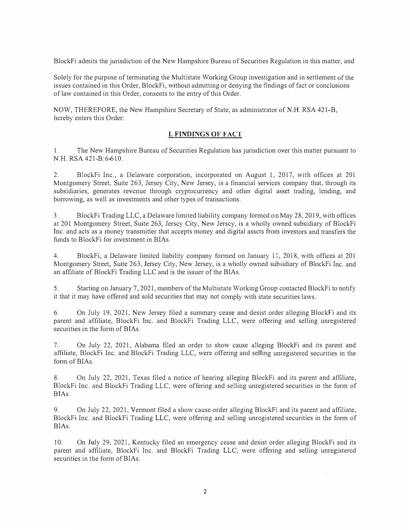BlockFi admits the jurisdiction of the New Hampshire Bureau of Securities Regulation in this matter; and

Solely for the purpose of terminating the Multistate Working Group investigation and in settlement of the issues contained in this Order, BlockFi, without admitting or denying the findings of fact or conclusions of law contained in this Order, consents to the entry of this Order.

NOW, THEREFORE, the New Hampshire Secretary of State, as administrator of N.H. RSA 421-B, hereby enters this Order:

## **I. FINDINGS OF FACT**

1. The New Hampshire Bureau of Securities Regulation has jurisdiction over this matter pursuant to N.H. RSA 421-B:6-610.

2. BlockFi Inc., a Delaware corporation, incorporated on August 1, 2017, with offices at 201 Montgomery Street, Suite 263, Jersey City, New Jersey, is a financial services company that, through its subsidiaries, generates revenue through cryptocurrency and other digital asset trading, lending, and borrowing, as well as investments and other types of transactions.

3. BlockFi Trading LLC, a Delaware limited liability company formed on May 28, 2019, with offices at 201 Montgomery Street, Suite 263, Jersey City, New Jersey, is a wholly owned subsidiary of BlockFi Inc. and acts as a money transmitter that accepts money and digital assets from investors and transfers the funds to BlockFi for investment in BIAs.

4. BlockFi, a Delaware limited liability company fonned on January 11, 2018, with offices at 201 Montgomery Street, Suite 263, Jersey City, New Jersey, is a wholly owned subsidiary of BlockFi Inc. and an affiliate of BlockFi Trading LLC and is the issuer of the BIAs.

5. Starting on January 7, 2021, members of the Multistate Working Group contacted BlockFi to notify it that it may have offered and sold securities that may not comply with state securities laws.

6. On July 19, 2021, New Jersey filed a summary cease and desist order alleging Block Fi and its parent and affiliate, BlockFi Inc. and BlockFi Trading LLC, were offering and selling unregistered securities in the form of BIAs.

7. On July 22, 2021, Alabama filed an order to show cause alleging BlockFi and its parent and affiliate, BlockFi Inc. and BlockFi Trading LLC, were offering and selling unregistered securities in the form of BIAs.

8. On July 22, 2021, Texas filed a notice of hearing alleging BlockFi and its parent and affiliate, BlockFi Inc. and BlockFi Trading LLC, were offering and selling unregistered securities in the form of BIAs.

9. On July 22, 2021, Vermont filed a show cause order alleging BlockFi and its parent and affiliate, BlockFi Inc. and BlockFi Trading LLC, were offering and selling unregistered securities in the fonn of BIAs.

10. On July 29, 2021, Kentucky filed an emergency cease and desist order alleging BlockFi and its parent and affiliate, BlockFi Inc. and BlockFi Trading LLC, were offering and selling unregistered securities in the form of BIAs.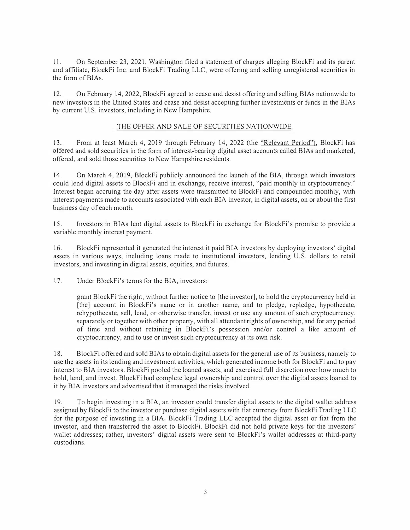l l. On September 23, 2021, Washington filed a statement of charges alleging BlockFi and its parent and affiliate, BlockFi Inc. and BlockFi Trading LLC, were offering and selling unregistered securities in the form of BIAs.

12. On February 14, 2022, BlockFi agreed to cease and desist offering and selling BIAs nationwide to new investors in tbe United States and cease and desist accepting further investments or funds in the BIAs by current U.S. investors, including in New Hampshire.

## THE OFFER AND SALE OF SECURITIES NATIONWIDE

13. From at least March 4, 2019 through February 14, 2022 (the "Relevant Period"), BlockFi has offered and sold securities in the form of interest-bearing digital asset accounts called BIAs and marketed, offered, and sold those securities to New Hampshire residents.

14. On March 4, 2019, BlockFi publicly announced the launch of the BIA, through which investors could lend digital assets to BlockFi and in exchange, receive interest, "paid monthly in cryptocurrency." Interest began accruing the day after assets were transmitted to BlockFi and compounded monthly, with interest payments made to accounts associated with each BIA investor, in digital assets, on or about the first business day of each month.

15. Investors in BIAs lent digital assets to BlockFi in exchange for BlockFi's promise to provide a variable monthly interest payment.

16. BlockFi represented it generated the interest it paid BIA investors by deploying investors' digital assets in various ways, including loans made to institutional investors, lending U.S. dollars to retail investors, and investing in digital assets, equities, and futures.

17. Under BlockFi's terms for the BIA, investors:

grant BlockFi the right, without further notice to [the investor], to hold the cryptocurrency held in [the] account in BlockFi's name or in another name, and to pledge, repledge, hypothecate, rehypothecate, sell, lend, or otherwise transfer, invest or use any amount of such cryptocurrency, separately or together with other property, with all attendant rights of ownership, and for any period of time and without retaining in BlockFi's possession and/or control a like amount of cryptocurrency, and to use or invest such cryptocurrency at its own risk.

18. BlockFi offered and sold BIAs to obtain digital assets for the general use of its business, namely to use the assets in its lending and investment activities, which generated income both for BlockFi and to pay interest to BIA investors. BlockFi pooled the loaned assets, and exercised full discretion over how much to hold, lend, and invest. BlockFi had complete legal ownership and control over the digital assets loaned to it by BIA investors and advertised that it managed the risks involved.

19. To begin investing in a BIA, an investor could transfer digital assets to the digital wallet address assigned by BlockFi to the investor or purchase digital assets with fiat currency from BlockFi Trading LLC for the purpose of investing in a BIA. BlockFi Trading LLC accepted the digital asset or fiat from the investor, and then transferred the asset to BlockFi. BlockFi did not hold private keys for the investors' wallet addresses; rather, investors' digital assets were sent to BlockFi's wallet addresses at third-party custodians.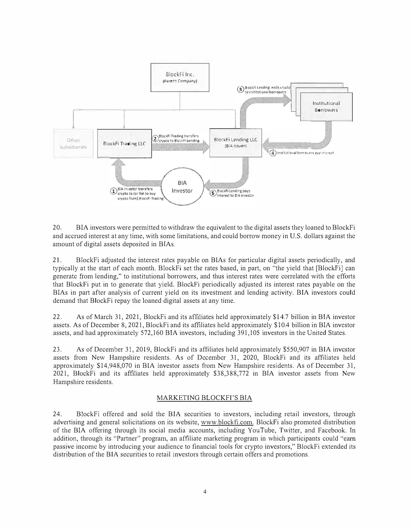

20. BIA investors were permitted to withdraw the equivalent to the digital assets they loaned to BlockFi and accrued interest at any time, with some limitations, and could borrow money in U.S. dollars against the amount of digital assets deposited in BIAs.

21. BlockFi adjusted the interest rates payable on BIAs for particular digital assets periodically, and typically at the start of each month. BlockFi set the rates based, in part, on "the yield that [Blockfi] can generate from lending," to institutional borrowers, and thus interest rates were correlated with the efforts that BlockFi put in to generate that yield. Blockfi periodically adjusted its interest rates payable on the BIAs in part after analysis of current yield on its investment and lending activity. BIA investors could demand that BlockFi repay the loaned digital assets at any time.

22. As of March 31, 2021, BlockFi and its affiliates held approximately\$ I 4.7 billion in BIA investor assets. As of December 8, 2021, BlockFi and its affiliates held approximately \$10.4 billion in BIA investor assets, and had approximately 572,160 BIA investors, including 391,105 investors in the United States.

23. As of December 31, 2019, BlockFi and its affiliates held approximately \$550,907 in BIA investor assets from New Hampshire residents. As of December 31, 2020, BlockFi and its affiliates held approximately £14,948,070 in BIA investor assets from New Hampshire residents. As of December 31, 2021, BlockFi and its affiliates held approximately \$38,388,772 in BIA investor assets from New Hampshire residents.

#### MARKETING BLOCKFI'S BIA

24. BlockFi offered and sold the BIA securities to investors, including retail investors, through advettising and general solicitations on its website, www.blockfi.com. BlockFi also promoted distribution of the BIA offering through its social media accounts, including YouTube, Twitter, and Facebook. Tn addition, through its "Partner" program, an affiliate marketing program in which participants could "earn passive income by introducing your audience to financial tools for crypto investors," BlockFi extended its distribution of the BIA securities to retail investors through certain offers and promotions.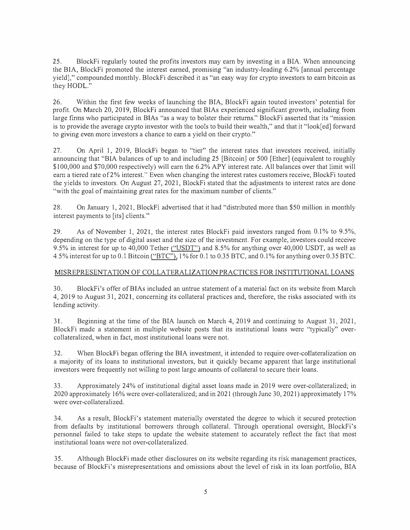25. BlockFi regularly touted the profits investors may earn by investing in a BIA. When announcing the BIA, BlockFi promoted the interest earned, promising "an industry-leading 6.2% [annual percentage yield]," compounded monthly. BlockFi described it as "an easy way for crypto investors to earn bitcoin as they HODL."

26. Within the first few weeks of launching the BIA, BlockFi again touted investors' potential for profit. On March 20, 2019, BlockFi announced that BIAs experienced significant growth, including from large firms who participated in BIAs "as a way to bolster their returns." BlockFi asserted that its "mission is to provide the average crypto investor with the tools to build their wealth," and that it "look[ed] forward to giving even more investors a chance to earn a yield on their crypto."

27. On April 1, 2019, BlockFi began to "tier" the interest rates that investors received, initially announcing that "BIA balances of up to and including 25 [Bitcoin] or 500 [Ether] (equivalent to roughly \$100,000 and \$70,000 respectively) will earn the 6.2% APY interest rate. All balances over that limit will earn a tiered rate of2% interest." Even when changing the interest rates customers receive, BlockFi touted the yields to investors. On August 27, 2021, BlockFi stated that the adjustments to interest rates are done "with the goal of maintaining great rates for the maximum number of clients."

28. On January I, 2021, BlockFi advertised that it had "distributed more than \$50 million in monthly interest payments to [its] clients."

29. As of November 1, 2021, the interest rates BlockFi paid investors ranged from 0.1% to 9.5%, depending on the type of digital asset and the size of the investment. For example, investors could receive 9.5% in interest for up to 40,000 Tether ("USDT") and 8.5% for anything over 40,000 USDT, as well as 4.5% interest for up to 0.1 Bitcoin ("BTC"), 1 % for 0.1 to 0.35 BTC, and 0.1 % for anything over 0.35 BTC.

# MISREPRESENTATION OF COLLA TERALIZA TION PRACTICES FOR INSTITUTIONAL LOANS

30. BlockFi's offer ofBIAs included an untrue statement of a material fact on its website from March 4, 2019 to August 3 I, 2021, concerning its collateral practices and, therefore, the risks associated with its lending activity.

31. Beginning at the time of the BIA launch on March 4, 2019 and continuing to August 31, 2021, BlockFi made a statement in multiple website posts that its institutional loans were "typically" overcollateralized, when in fact, most institutional loans were not.

32. When BlockFi began offering the BIA investment, it intended to require over-collateralization on a majority of its loans to institutional investors, but it quickly became apparent that large institutional investors were frequently not willing to post large amounts of collateral to secure their loans.

33. Approximately 24% of institutional digital asset loans made in 2019 were over-collateralized; in 2020 approximately 16% were over-collateralized; and in 2021 (through June 30, 2021) approximately 17% were over-collateralized.

34. As a result, BlockFi's statement materially overstated the degree to which it secured protection from defaults by institutional borrowers through collateral. Through operational oversight, BlockFi's personnel failed to take steps to update the website statement to accurately reflect the fact that most institutional loans were not over-collateralized.

35. Although BlockFi made other disclosures on its website regarding its risk management practices, because of BlockFi's misrepresentations and omissions about the level of risk in its loan portfolio, BIA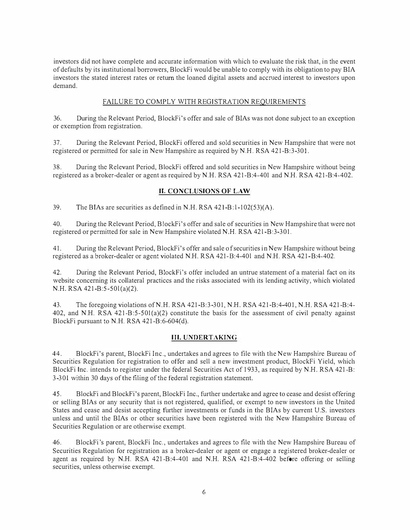investors did not have complete and accurate information with which to evaluate the risk that, in the event of defaults by its institutional borrowers, BlockFi would be unable to comply with its obligation to pay BIA investors the stated interest rates or return the loaned digital assets and accrned interest to investors upon demand.

# FAILURE TO COMPLY WITH REGISTRATION REQUIREMENTS

36. During the Relevant Period, BlockFi's offer and sale ofBIAs was not done subject to an exception or exemption from registration.

37. During the Relevant Period, BlockFi offered and sold securities in New Hampshire that were not registered or permitted for sale in New Hampshire as required by N.H. RSA 421-B:3-301.

38. During the Relevant Period, BlockFi offered and sold securities in New Hampshire without being registered as a broker-dealer or agent as required by N.H. RSA 42 1 -B:4-401 and N.H. RSA 42 1 -B:4-402.

# **IT. CONCLUSIONS OF LAW**

39. The BIAs are securities as defined in N.H. RSA 421-B:1-102(53)(A).

40. During the Relevant Period, BlockFi's offer and sale of securities in New Hampshire that were not registered or permitted for sale in New Hampshire violated N.H. RSA 421-B:3-301.

41. During the Relevant Period, BlockFi's offer and sale of securities in New Hampshire without being registered as a broker-dealer or agent violated N.H. RSA 421-B:4-401 and N.H. RSA 421-B:4-402.

42. During the Relevant Period, BlockFi's offer included an untrue statement of a material fact on its website concerning its collateral practices and the risks associated with its lending activity, which violated N.H. RSA 42 1 -B:5-50l(a)(2).

43. The foregoing violations ofN.H. RSA 421-8:3-301, N.H. RSA 42 1 -B:4- 401, N.H. RSA 421 -B:4- 402, and N.H. RSA  $421-B:5-501(a)(2)$  constitute the basis for the assessment of civil penalty against BlockFi pursuant to N.H. RSA 421 -B:6-604(d).

# **III. UNDERTAKING**

44. BlockFi's parent, BlockFi Inc., undertakes and agrees to file with the New Hampshire Bureau of Securities Regulation for registration to offer and sell a new investment product, BlockFi Yield, which BlockFi lnc. intends to register under the federal Securities Act of 1 933, as required by N.H. RSA 421 -B: 3-301 within 30 days of the filing of the federal registration statement.

45. BlockFi and BlockFi's parent, BlockFi Inc., further undertake and agree to cease and desist offering or selling BIAs or any security that is not registered, qualified, or exempt to new investors in the United States and cease and desist accepting further investments or funds in the BIAs by cunent U.S. investors unless and until the BIAs or other securities have been registered with the New Hampshire Bureau of Securities Regulation or are otherwise exempt.

46. BlockFi 's parent, BlockFi Inc., undertakes and agrees to file with the New Hampshire Bureau of Securities Regulation for registration as a broker-dealer or agent or engage a registered broker-dealer or agent as required by N.H. RSA 421-B:4-401 and N.H. RSA 421-B:4-402 before offering or selling securities, unless otherwise exempt.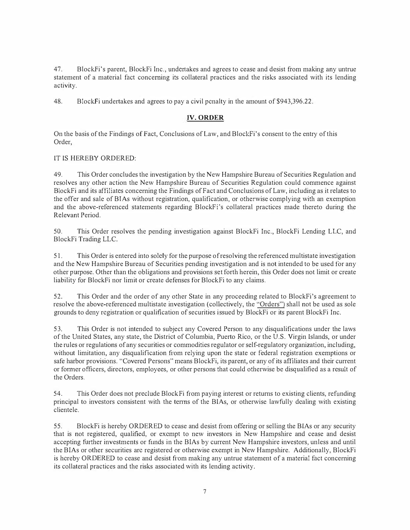47. Block Fi's parent, Block Filme., undertakes and agrees to cease and desist from making any untrue statement of a material fact concerning its collateral practices and the risks associated with its lending activity.

48. Block Fi undertakes and agrees to pay a civil penalty in the amount of \$943,396.22.

# **IV. ORDER**

On the basis of the Findings of Fact, Conclusions of Law, and Block.Fi's consent to the entry of this Order,

# IT IS HEREBY ORDERED:

49. This Order concludes the investigation by the New Hampshire Bureau of Securities Regulation and resolves any other action the New Hampshire Bureau of Securities Regulation could commence against BlockFi and its affiliates concerning the Findings of Fact and Conclusions of Law, including as it relates to the offer and sale of BTAs without registration, qualification, or otherwise complying with an exemption and the above-referenced statements regarding BlockFi's collateral practices made thereto during the Relevant Period.

50. This Order resolves the pending investigation against BlockFi Inc., Block.Fi Lending LLC, and BlockFi Trading LLC.

51. This Order is entered into solely for the purpose of resolving the referenced multistate investigation and the New Hampshire Bureau of Securities pending investigation and is not intended to be used for any other purpose. Other than the obligations and provisions set forth herein, this Order does not limit or create liability for BlockFi nor limit or create defenses for BlockFi to any claims.

52. This Order and the order of any other State in any proceeding related to BlockFi's agreement to resolve the above-referenced multistate investigation (collectively, the "Orders") shall not be used as sole grounds to deny registration or qualification of securities issued by BlockFi or its parent BlockFi Inc.

53. This Order is not intended to subject any Covered Person to any disqualifications under the laws of the United States, any state, the District of Columbia, Puerto Rico, or the U.S. Virgin Islands, or under the rules or regulations of any securities or commodities regulator or self-regulatory organization, including, without limitation, any disqualification from relying upon the state or federal registration exemptions or safe harbor provisions. "Covered Persons" means BlockFi, its parent, or any of its affiliates and their current or fom1er officers, directors, employees, or other persons that could otherwise be disqualified as a result of the Orders.

54. This Order does not preclude Block.Fi from paying interest or returns to existing clients, refunding principal to investors consistent with the tenns of the BIAs, or otherwise lawfully dealing with existing clientele.

55. Block Fi is hereby ORDERED to cease and desist from offering or selling the BIAs or any security that is not registered, qualified, or exempt to new investors in New Hampshire and cease and desist accepting further investments or funds in the BIAs by current New Hampshire investors, unless and until the BIAs or other securities are registered or otherwise exempt in New Hampshire. Additionally, BlockFi is hereby ORDERED to cease and desist from making any untrue statement of a material fact concerning its collateral practices and the risks associated with its lending activity.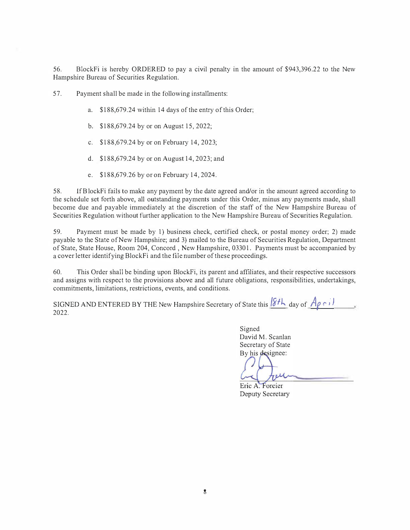56. BlockFi is hereby ORDERED to pay a civil penalty in the amount of \$943,396.22 to the New Hampshire Bureau of Securities Regulation.

57. Payment shall be made in the following installments:

- a. \$188,679.24 within 14 days of the entry of this Order;
- b. \$188,679.24 by or on August 15, 2022;
- c. \$188,679.24 by or on February 14, 2023;
- d. \$188,679.24 by or on August 14, 2023; and
- e. \$ I 88,679.26 by or on February 14, 2024.

58. IfBlockFi fails to make any payment by the date agreed and/or in the amount agreed according to the schedule set forth above, all outstanding payments under this Order, minus any payments made, shall become due and payable immediately at the discretion of the staff of the New Hampshire Bureau of Securities Regulation without further application to the New Hampshire Bureau of Securities Regulation.

59. Payment must be made by I) business check, certified check, or postal money order; 2) made payable to the State of New Hampshire; and 3) mailed to the Bureau of Securities Regulation, Department of State, State House, Room 204, Concord , New Hampshire, 03301. Payments must be accompanied by a cover letter identifying BlockFi and the file number of these proceedings.

60. This Order shall be binding upon BlockFi, its parent and affiliates, and their respective successors and assigns with respect to the provisions above and all future obligations, responsibilities, undertakings, commitments, limitations, restrictions, events, and conditions.

SIGNED AND ENTERED BY THE New Hampshire Secretary of State this  $8f h$  day of  $A\rho \circ J$ 2022.

> Signed David M. Scanlan Secretary of State By his designee: reu

Eric A. Forcier Deputy Secretary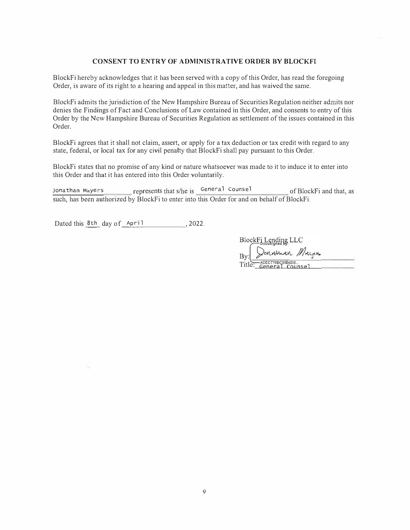#### **CONSENT TO ENTRY OF ADMINISTRATIVE ORDER BY BLOCKFI**

BlockFi hereby acknowledges that it has been served with a copy of this Order, has read the foregoing Order, is aware of its right to a hearing and appeal in this matter, and has waived the same.

BlockFi admits the jurisdiction of the New Hampshire Bureau of Securities Regulation neither admits nor denies the Findings of Fact and Conclusions of Law contained in this Order, and consents to entry of this Order by the New Hampshire Bureau of Securities Regulation as settlement of the issues contained in this Order.

BlockFi agrees that it shall not claim, assert, or apply for a tax deduction or tax credit with regard to any state, federal, or local tax for any civil penalty that BlockFi shall pay pursuant to this Order.

BlockFi states that no promise of any kind or nature whatsoever was made to it to induce it to enter into this Order and that it has entered into this Order voluntarily.

Jonathan Mayers represents that s/he is General Counsel of BlockFi and that, as such, has been authorized by BlockFi to enter into this Order for and on behalf of BlockFi.

Dated this 8th day of April , 2022.

BlockFi Lending LLC Son Athan Mayers Bv: Title: